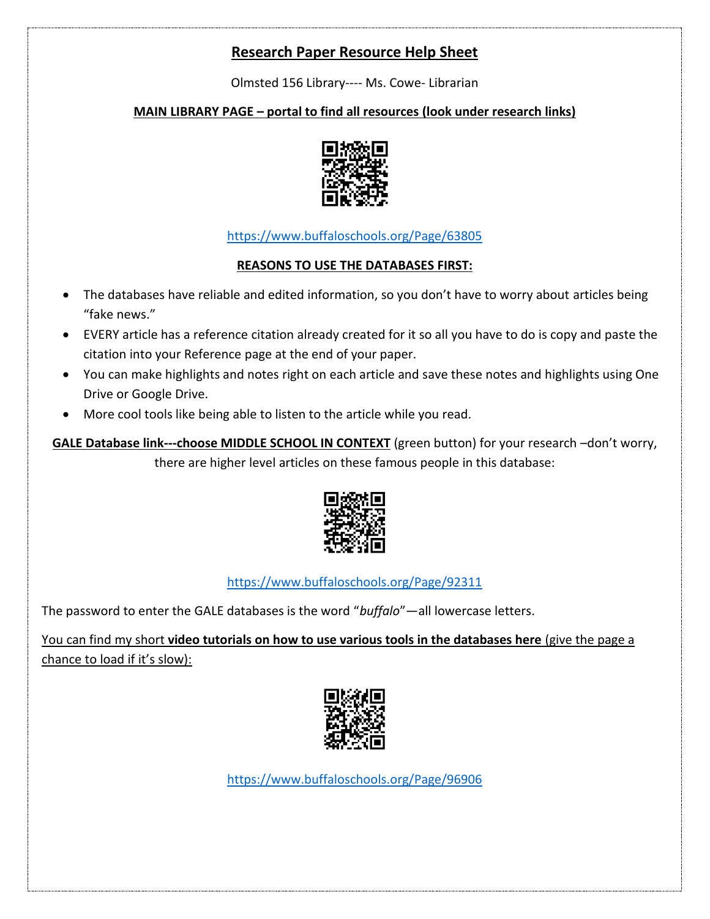# **Research Paper Resource Help Sheet**

Olmsted 156 Library---- Ms. Cowe- Librarian

### **MAIN LIBRARY PAGE – portal to find all resources (look under research links)**



<https://www.buffaloschools.org/Page/63805>

#### **REASONS TO USE THE DATABASES FIRST:**

- The databases have reliable and edited information, so you don't have to worry about articles being "fake news."
- EVERY article has a reference citation already created for it so all you have to do is copy and paste the citation into your Reference page at the end of your paper.
- You can make highlights and notes right on each article and save these notes and highlights using One Drive or Google Drive.
- More cool tools like being able to listen to the article while you read.

**GALE Database link---choose MIDDLE SCHOOL IN CONTEXT** (green button) for your research –don't worry, there are higher level articles on these famous people in this database:



<https://www.buffaloschools.org/Page/92311>

The password to enter the GALE databases is the word "*buffalo*"—all lowercase letters.

You can find my short **video tutorials on how to use various tools in the databases here** (give the page a chance to load if it's slow):



<https://www.buffaloschools.org/Page/96906>